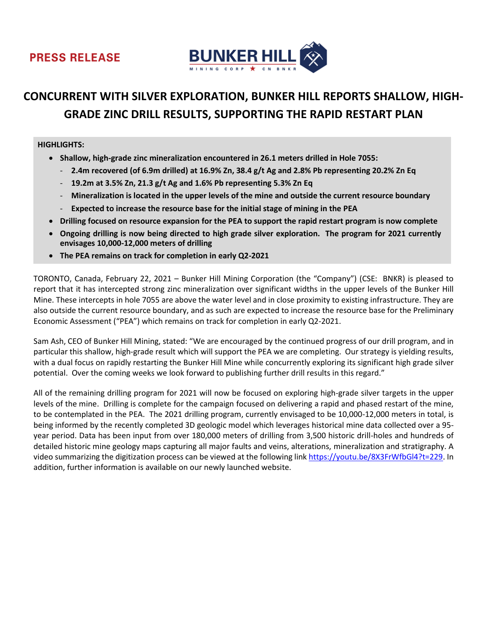



# **CONCURRENT WITH SILVER EXPLORATION, BUNKER HILL REPORTS SHALLOW, HIGH-GRADE ZINC DRILL RESULTS, SUPPORTING THE RAPID RESTART PLAN**

#### **HIGHLIGHTS:**

- **Shallow, high-grade zinc mineralization encountered in 26.1 meters drilled in Hole 7055:**
	- **2.4m recovered (of 6.9m drilled) at 16.9% Zn, 38.4 g/t Ag and 2.8% Pb representing 20.2% Zn Eq**
	- **19.2m at 3.5% Zn, 21.3 g/t Ag and 1.6% Pb representing 5.3% Zn Eq**
	- **Mineralization is located in the upper levels of the mine and outside the current resource boundary**
	- **Expected to increase the resource base for the initial stage of mining in the PEA**
- **Drilling focused on resource expansion for the PEA to support the rapid restart program is now complete**
- **Ongoing drilling is now being directed to high grade silver exploration. The program for 2021 currently envisages 10,000-12,000 meters of drilling**
- **The PEA remains on track for completion in early Q2-2021**

TORONTO, Canada, February 22, 2021 – Bunker Hill Mining Corporation (the "Company") (CSE: BNKR) is pleased to report that it has intercepted strong zinc mineralization over significant widths in the upper levels of the Bunker Hill Mine. These intercepts in hole 7055 are above the water level and in close proximity to existing infrastructure. They are also outside the current resource boundary, and as such are expected to increase the resource base for the Preliminary Economic Assessment ("PEA") which remains on track for completion in early Q2-2021.

Sam Ash, CEO of Bunker Hill Mining, stated: "We are encouraged by the continued progress of our drill program, and in particular this shallow, high-grade result which will support the PEA we are completing. Our strategy is yielding results, with a dual focus on rapidly restarting the Bunker Hill Mine while concurrently exploring its significant high grade silver potential. Over the coming weeks we look forward to publishing further drill results in this regard."

All of the remaining drilling program for 2021 will now be focused on exploring high-grade silver targets in the upper levels of the mine. Drilling is complete for the campaign focused on delivering a rapid and phased restart of the mine, to be contemplated in the PEA. The 2021 drilling program, currently envisaged to be 10,000-12,000 meters in total, is being informed by the recently completed 3D geologic model which leverages historical mine data collected over a 95 year period. Data has been input from over 180,000 meters of drilling from 3,500 historic drill-holes and hundreds of detailed historic mine geology maps capturing all major faults and veins, alterations, mineralization and stratigraphy. A video summarizing the digitization process can be viewed at the following link [https://youtu.be/8X3FrWfbGl4?t=229.](https://youtu.be/8X3FrWfbGl4?t=229) In addition, further information is available on our newly launched website.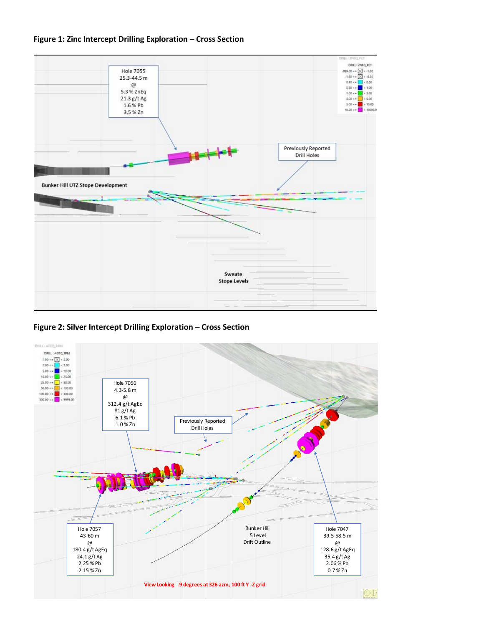



**Figure 2: Silver Intercept Drilling Exploration – Cross Section**

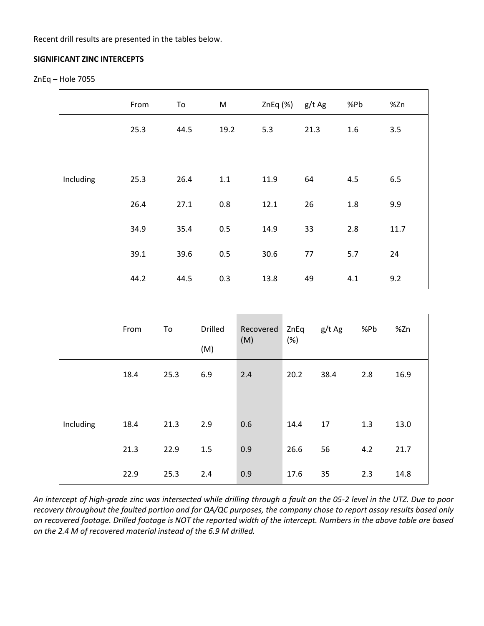Recent drill results are presented in the tables below.

### **SIGNIFICANT ZINC INTERCEPTS**

```
ZnEq – Hole 7055
```

|           | From | To   | M    | ZnEq (%) | g/t Ag | %Pb     | %Zn  |
|-----------|------|------|------|----------|--------|---------|------|
|           | 25.3 | 44.5 | 19.2 | 5.3      | 21.3   | 1.6     | 3.5  |
|           |      |      |      |          |        |         |      |
| Including | 25.3 | 26.4 | 1.1  | 11.9     | 64     | 4.5     | 6.5  |
|           | 26.4 | 27.1 | 0.8  | 12.1     | 26     | $1.8\,$ | 9.9  |
|           | 34.9 | 35.4 | 0.5  | 14.9     | 33     | 2.8     | 11.7 |
|           | 39.1 | 39.6 | 0.5  | 30.6     | 77     | 5.7     | 24   |
|           | 44.2 | 44.5 | 0.3  | 13.8     | 49     | 4.1     | 9.2  |

|           | From | To   | <b>Drilled</b><br>(M) | Recovered<br>(M) | ZnEq<br>(%) | g/t Ag | %Pb | %Zn  |
|-----------|------|------|-----------------------|------------------|-------------|--------|-----|------|
|           | 18.4 | 25.3 | 6.9                   | 2.4              | 20.2        | 38.4   | 2.8 | 16.9 |
| Including | 18.4 | 21.3 | 2.9                   | 0.6              | 14.4        | 17     | 1.3 | 13.0 |
|           | 21.3 | 22.9 | 1.5                   | 0.9              | 26.6        | 56     | 4.2 | 21.7 |
|           | 22.9 | 25.3 | 2.4                   | 0.9              | 17.6        | 35     | 2.3 | 14.8 |

*An intercept of high-grade zinc was intersected while drilling through a fault on the 05-2 level in the UTZ. Due to poor recovery throughout the faulted portion and for QA/QC purposes, the company chose to report assay results based only on recovered footage. Drilled footage is NOT the reported width of the intercept. Numbers in the above table are based on the 2.4 M of recovered material instead of the 6.9 M drilled.*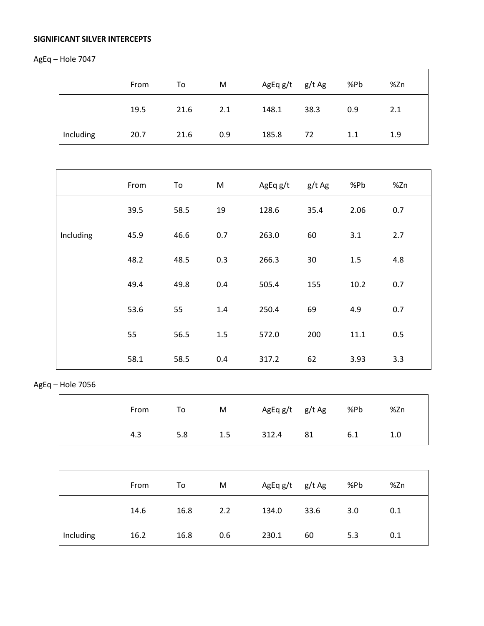# **SIGNIFICANT SILVER INTERCEPTS**

AgEq – Hole 7047

|           | From | To   | M   | AgEq g/t g/t Ag |      | %Pb | %Zn |
|-----------|------|------|-----|-----------------|------|-----|-----|
|           | 19.5 | 21.6 | 2.1 | 148.1           | 38.3 | 0.9 | 2.1 |
| Including | 20.7 | 21.6 | 0.9 | 185.8           | 72   | 1.1 | 1.9 |

|           | From | To   | M   | AgEq g/t | g/t Ag | %Pb  | %Zn |
|-----------|------|------|-----|----------|--------|------|-----|
|           | 39.5 | 58.5 | 19  | 128.6    | 35.4   | 2.06 | 0.7 |
| Including | 45.9 | 46.6 | 0.7 | 263.0    | 60     | 3.1  | 2.7 |
|           | 48.2 | 48.5 | 0.3 | 266.3    | 30     | 1.5  | 4.8 |
|           | 49.4 | 49.8 | 0.4 | 505.4    | 155    | 10.2 | 0.7 |
|           | 53.6 | 55   | 1.4 | 250.4    | 69     | 4.9  | 0.7 |
|           | 55   | 56.5 | 1.5 | 572.0    | 200    | 11.1 | 0.5 |
|           | 58.1 | 58.5 | 0.4 | 317.2    | 62     | 3.93 | 3.3 |

# AgEq – Hole 7056

| From | To  | M       | AgEq g/t g/t Ag |    | %Pb | %Zn |
|------|-----|---------|-----------------|----|-----|-----|
| 4.3  | 5.8 | $1.5\,$ | 312.4           | 81 | 6.1 | 1.0 |

|           | From | To   | M   | AgEq g/t g/t Ag |      | %Pb | %Zn |
|-----------|------|------|-----|-----------------|------|-----|-----|
|           | 14.6 | 16.8 | 2.2 | 134.0           | 33.6 | 3.0 | 0.1 |
| Including | 16.2 | 16.8 | 0.6 | 230.1           | 60   | 5.3 | 0.1 |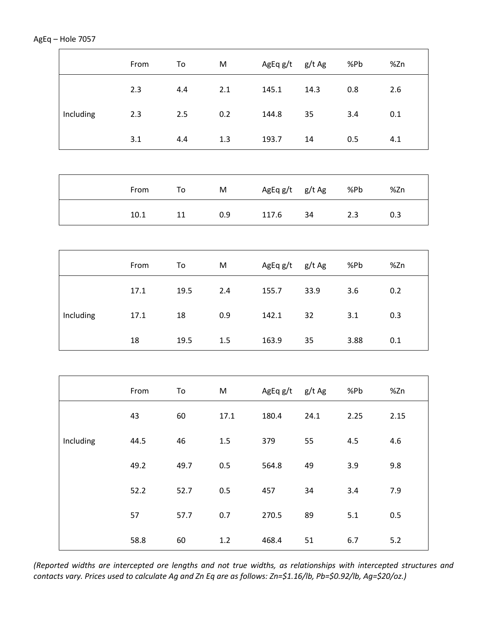|           | From | To     | M         | AgEq g/t g/t Ag |        | %Pb   | %Zn   |
|-----------|------|--------|-----------|-----------------|--------|-------|-------|
|           | 2.3  | 4.4    | 2.1       | 145.1           | 14.3   | 0.8   | 2.6   |
| Including | 2.3  | 2.5    | 0.2       | 144.8           | 35     | 3.4   | 0.1   |
|           | 3.1  | 4.4    | 1.3       | 193.7           | 14     | 0.5   | 4.1   |
|           |      |        |           |                 |        |       |       |
|           | From | To     | M         | AgEq g/t        | g/t Ag | %Pb   | %Zn   |
|           | 10.1 | $11\,$ | 0.9       | 117.6           | 34     | 2.3   | 0.3   |
|           |      |        |           |                 |        |       |       |
|           | From | To     | M         | AgEq g/t        | g/t Ag | %Pb   | %Zn   |
|           | 17.1 | 19.5   | 2.4       | 155.7           | 33.9   | 3.6   | 0.2   |
| Including | 17.1 | 18     | 0.9       | 142.1           | 32     | 3.1   | 0.3   |
|           | 18   | 19.5   | 1.5       | 163.9           | 35     | 3.88  | 0.1   |
|           |      |        |           |                 |        |       |       |
|           | From | To     | ${\sf M}$ | AgEq g/t g/t Ag |        | %Pb   | %Zn   |
|           | 43   | 60     | 17.1      | 180.4           | 24.1   | 2.25  | 2.15  |
| Including | 44.5 | 46     | 1.5       | 379             | 55     | 4.5   | 4.6   |
|           | 49.2 | 49.7   | 0.5       | 564.8           | 49     | 3.9   | 9.8   |
|           | 52.2 | 52.7   | 0.5       | 457             | 34     | 3.4   | 7.9   |
|           | 57   | 57.7   | 0.7       | 270.5           | 89     | $5.1$ | 0.5   |
|           | 58.8 | 60     | 1.2       | 468.4           | 51     | 6.7   | $5.2$ |

*(Reported widths are intercepted ore lengths and not true widths, as relationships with intercepted structures and contacts vary. Prices used to calculate Ag and Zn Eq are as follows: Zn=\$1.16/lb, Pb=\$0.92/lb, Ag=\$20/oz.)*

# AgEq – Hole 7057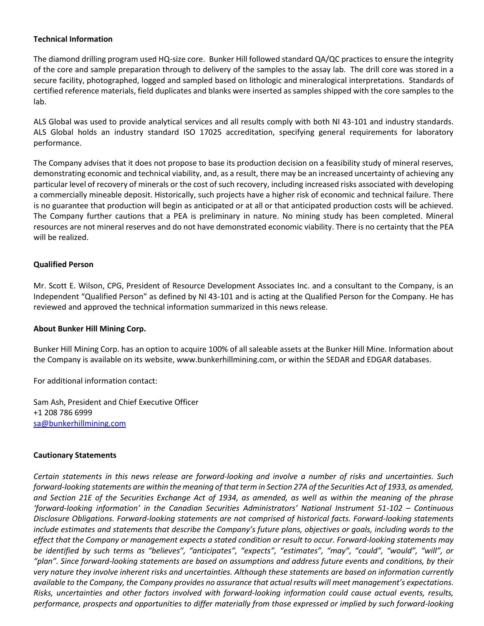## **Technical Information**

The diamond drilling program used HQ-size core. Bunker Hill followed standard QA/QC practices to ensure the integrity of the core and sample preparation through to delivery of the samples to the assay lab. The drill core was stored in a secure facility, photographed, logged and sampled based on lithologic and mineralogical interpretations. Standards of certified reference materials, field duplicates and blanks were inserted as samples shipped with the core samples to the lab.

ALS Global was used to provide analytical services and all results comply with both NI 43-101 and industry standards. ALS Global holds an industry standard ISO 17025 accreditation, specifying general requirements for laboratory performance.

The Company advises that it does not propose to base its production decision on a feasibility study of mineral reserves, demonstrating economic and technical viability, and, as a result, there may be an increased uncertainty of achieving any particular level of recovery of minerals or the cost of such recovery, including increased risks associated with developing a commercially mineable deposit. Historically, such projects have a higher risk of economic and technical failure. There is no guarantee that production will begin as anticipated or at all or that anticipated production costs will be achieved. The Company further cautions that a PEA is preliminary in nature. No mining study has been completed. Mineral resources are not mineral reserves and do not have demonstrated economic viability. There is no certainty that the PEA will be realized.

## **Qualified Person**

Mr. Scott E. Wilson, CPG, President of Resource Development Associates Inc. and a consultant to the Company, is an Independent "Qualified Person" as defined by NI 43-101 and is acting at the Qualified Person for the Company. He has reviewed and approved the technical information summarized in this news release.

#### **About Bunker Hill Mining Corp.**

Bunker Hill Mining Corp. has an option to acquire 100% of all saleable assets at the Bunker Hill Mine. Information about the Company is available on its website, www.bunkerhillmining.com, or within the SEDAR and EDGAR databases.

For additional information contact:

Sam Ash, President and Chief Executive Officer +1 208 786 6999 [sa@bunkerhillmining.com](mailto:sa@bunkerhillmining.com)

#### **Cautionary Statements**

*Certain statements in this news release are forward-looking and involve a number of risks and uncertainties. Such forward-looking statements are within the meaning of that term in Section 27A of the Securities Act of 1933, as amended, and Section 21E of the Securities Exchange Act of 1934, as amended, as well as within the meaning of the phrase 'forward-looking information' in the Canadian Securities Administrators' National Instrument 51-102 – Continuous Disclosure Obligations. Forward-looking statements are not comprised of historical facts. Forward-looking statements include estimates and statements that describe the Company's future plans, objectives or goals, including words to the effect that the Company or management expects a stated condition or result to occur. Forward-looking statements may be identified by such terms as "believes", "anticipates", "expects", "estimates", "may", "could", "would", "will", or "plan". Since forward-looking statements are based on assumptions and address future events and conditions, by their very nature they involve inherent risks and uncertainties. Although these statements are based on information currently available to the Company, the Company provides no assurance that actual results will meet management's expectations. Risks, uncertainties and other factors involved with forward-looking information could cause actual events, results, performance, prospects and opportunities to differ materially from those expressed or implied by such forward-looking*